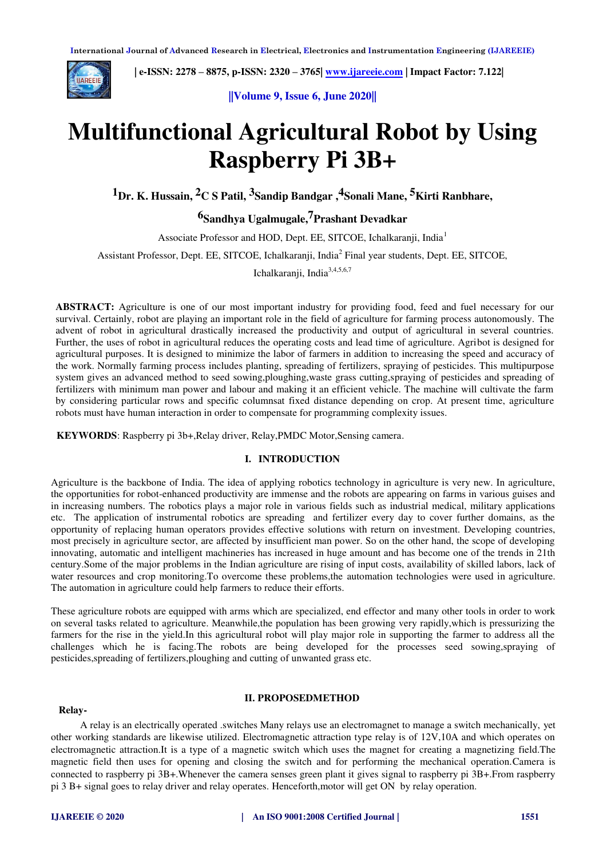

 **| e-ISSN: 2278 – 8875, p-ISSN: 2320 – 3765| [www.ijareeie.com](http://www.ijareeie.com/) | Impact Factor: 7.122|** 

**||Volume 9, Issue 6, June 2020||** 

# **Multifunctional Agricultural Robot by Using Raspberry Pi 3B+**

**1Dr. K. Hussain, 2C S Patil, 3Sandip Bandgar ,4Sonali Mane, 5Kirti Ranbhare,** 

## **6Sandhya Ugalmugale,7Prashant Devadkar**

Associate Professor and HOD, Dept. EE, SITCOE, Ichalkaranji, India<sup>1</sup>

Assistant Professor, Dept. EE, SITCOE, Ichalkaranji, India<sup>2</sup> Final year students, Dept. EE, SITCOE,

Ichalkaranji, India<sup>3,4,5,6,7</sup>

**ABSTRACT:** Agriculture is one of our most important industry for providing food, feed and fuel necessary for our survival. Certainly, robot are playing an important role in the field of agriculture for farming process autonomously. The advent of robot in agricultural drastically increased the productivity and output of agricultural in several countries. Further, the uses of robot in agricultural reduces the operating costs and lead time of agriculture. Agribot is designed for agricultural purposes. It is designed to minimize the labor of farmers in addition to increasing the speed and accuracy of the work. Normally farming process includes planting, spreading of fertilizers, spraying of pesticides. This multipurpose system gives an advanced method to seed sowing,ploughing,waste grass cutting,spraying of pesticides and spreading of fertilizers with minimum man power and labour and making it an efficient vehicle. The machine will cultivate the farm by considering particular rows and specific columnsat fixed distance depending on crop. At present time, agriculture robots must have human interaction in order to compensate for programming complexity issues.

**KEYWORDS**: Raspberry pi 3b+,Relay driver, Relay,PMDC Motor,Sensing camera.

#### **I. INTRODUCTION**

Agriculture is the backbone of India. The idea of applying robotics technology in agriculture is very new. In agriculture, the opportunities for robot-enhanced productivity are immense and the robots are appearing on farms in various guises and in increasing numbers. The robotics plays a major role in various fields such as industrial medical, military applications etc. The application of instrumental robotics are spreading and fertilizer every day to cover further domains, as the opportunity of replacing human operators provides effective solutions with return on investment. Developing countries, most precisely in agriculture sector, are affected by insufficient man power. So on the other hand, the scope of developing innovating, automatic and intelligent machineries has increased in huge amount and has become one of the trends in 21th century.Some of the major problems in the Indian agriculture are rising of input costs, availability of skilled labors, lack of water resources and crop monitoring. To overcome these problems, the automation technologies were used in agriculture. The automation in agriculture could help farmers to reduce their efforts.

These agriculture robots are equipped with arms which are specialized, end effector and many other tools in order to work on several tasks related to agriculture. Meanwhile,the population has been growing very rapidly,which is pressurizing the farmers for the rise in the yield.In this agricultural robot will play major role in supporting the farmer to address all the challenges which he is facing.The robots are being developed for the processes seed sowing,spraying of pesticides,spreading of fertilizers,ploughing and cutting of unwanted grass etc.

#### **Relay-**

## **II. PROPOSEDMETHOD**

A relay is an electrically operated .switches Many relays use an electromagnet to manage a switch mechanically, yet other working standards are likewise utilized. Electromagnetic attraction type relay is of 12V,10A and which operates on electromagnetic attraction.It is a type of a magnetic switch which uses the magnet for creating a magnetizing field.The magnetic field then uses for opening and closing the switch and for performing the mechanical operation.Camera is connected to raspberry pi 3B+.Whenever the camera senses green plant it gives signal to raspberry pi 3B+.From raspberry pi 3 B+ signal goes to relay driver and relay operates. Henceforth,motor will get ON by relay operation.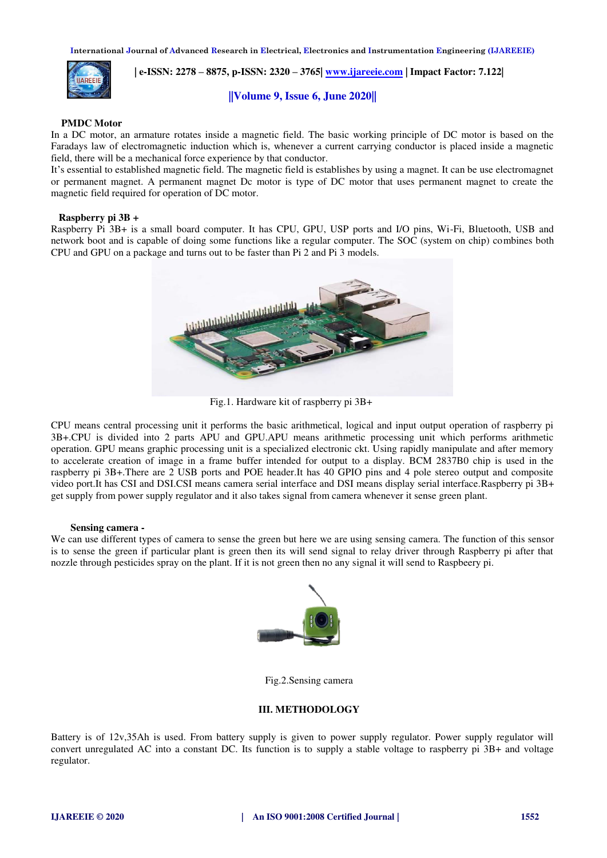

 **| e-ISSN: 2278 – 8875, p-ISSN: 2320 – 3765| [www.ijareeie.com](http://www.ijareeie.com/) | Impact Factor: 7.122|** 

## **||Volume 9, Issue 6, June 2020||**

#### **PMDC Motor**

In a DC motor, an armature rotates inside a magnetic field. The basic working principle of DC motor is based on the Faradays law of electromagnetic induction which is, whenever a current carrying conductor is placed inside a magnetic field, there will be a mechanical force experience by that conductor.

It's essential to established magnetic field. The magnetic field is establishes by using a magnet. It can be use electromagnet or permanent magnet. A permanent magnet Dc motor is type of DC motor that uses permanent magnet to create the magnetic field required for operation of DC motor.

#### **Raspberry pi 3B +**

Raspberry Pi 3B+ is a small board computer. It has CPU, GPU, USP ports and I/O pins, Wi-Fi, Bluetooth, USB and network boot and is capable of doing some functions like a regular computer. The SOC (system on chip) combines both CPU and GPU on a package and turns out to be faster than Pi 2 and Pi 3 models.



Fig.1. Hardware kit of raspberry pi 3B+

CPU means central processing unit it performs the basic arithmetical, logical and input output operation of raspberry pi 3B+.CPU is divided into 2 parts APU and GPU.APU means arithmetic processing unit which performs arithmetic operation. GPU means graphic processing unit is a specialized electronic ckt. Using rapidly manipulate and after memory to accelerate creation of image in a frame buffer intended for output to a display. BCM 2837B0 chip is used in the raspberry pi 3B+.There are 2 USB ports and POE header.It has 40 GPIO pins and 4 pole stereo output and composite video port.It has CSI and DSI.CSI means camera serial interface and DSI means display serial interface.Raspberry pi 3B+ get supply from power supply regulator and it also takes signal from camera whenever it sense green plant.

#### **Sensing camera -**

We can use different types of camera to sense the green but here we are using sensing camera. The function of this sensor is to sense the green if particular plant is green then its will send signal to relay driver through Raspberry pi after that nozzle through pesticides spray on the plant. If it is not green then no any signal it will send to Raspbeery pi.



Fig.2.Sensing camera

#### **III. METHODOLOGY**

Battery is of 12v,35Ah is used. From battery supply is given to power supply regulator. Power supply regulator will convert unregulated AC into a constant DC. Its function is to supply a stable voltage to raspberry pi 3B+ and voltage regulator.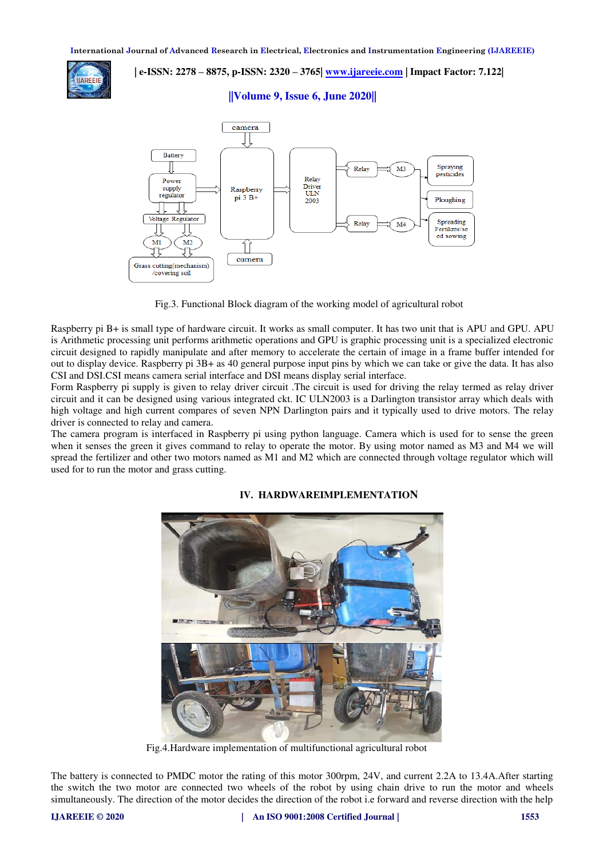

 **| e-ISSN: 2278 – 8875, p-ISSN: 2320 – 3765| [www.ijareeie.com](http://www.ijareeie.com/) | Impact Factor: 7.122|** 

## **||Volume 9, Issue 6, June 2020||**



Fig.3. Functional Block diagram of the working model of agricultural robot

Raspberry pi B+ is small type of hardware circuit. It works as small computer. It has two unit that is APU and GPU. APU is Arithmetic processing unit performs arithmetic operations and GPU is graphic processing unit is a specialized electronic circuit designed to rapidly manipulate and after memory to accelerate the certain of image in a frame buffer intended for out to display device. Raspberry pi 3B+ as 40 general purpose input pins by which we can take or give the data. It has also CSI and DSI.CSI means camera serial interface and DSI means display serial interface.

Form Raspberry pi supply is given to relay driver circuit .The circuit is used for driving the relay termed as relay driver circuit and it can be designed using various integrated ckt. IC ULN2003 is a Darlington transistor array which deals with high voltage and high current compares of seven NPN Darlington pairs and it typically used to drive motors. The relay driver is connected to relay and camera.

The camera program is interfaced in Raspberry pi using python language. Camera which is used for to sense the green when it senses the green it gives command to relay to operate the motor. By using motor named as M3 and M4 we will spread the fertilizer and other two motors named as M1 and M2 which are connected through voltage regulator which will used for to run the motor and grass cutting.



## **IV. HARDWAREIMPLEMENTATION**

Fig.4.Hardware implementation of multifunctional agricultural robot

The battery is connected to PMDC motor the rating of this motor 300rpm, 24V, and current 2.2A to 13.4A.After starting the switch the two motor are connected two wheels of the robot by using chain drive to run the motor and wheels simultaneously. The direction of the motor decides the direction of the robot i.e forward and reverse direction with the help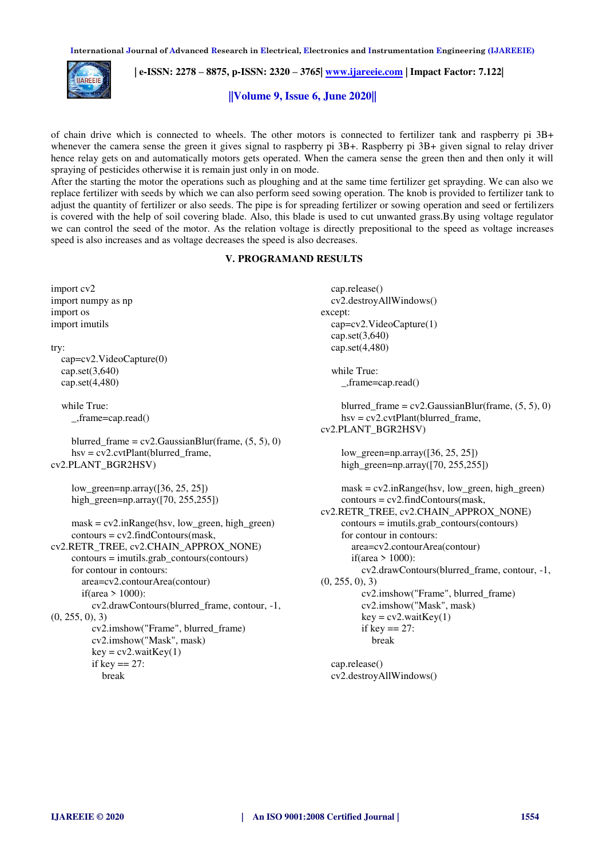

 **| e-ISSN: 2278 – 8875, p-ISSN: 2320 – 3765| [www.ijareeie.com](http://www.ijareeie.com/) | Impact Factor: 7.122|** 

**||Volume 9, Issue 6, June 2020||** 

of chain drive which is connected to wheels. The other motors is connected to fertilizer tank and raspberry pi 3B+ whenever the camera sense the green it gives signal to raspberry pi 3B+. Raspberry pi 3B+ given signal to relay driver hence relay gets on and automatically motors gets operated. When the camera sense the green then and then only it will spraying of pesticides otherwise it is remain just only in on mode.

After the starting the motor the operations such as ploughing and at the same time fertilizer get sprayding. We can also we replace fertilizer with seeds by which we can also perform seed sowing operation. The knob is provided to fertilizer tank to adjust the quantity of fertilizer or also seeds. The pipe is for spreading fertilizer or sowing operation and seed or fertilizers is covered with the help of soil covering blade. Also, this blade is used to cut unwanted grass.By using voltage regulator we can control the seed of the motor. As the relation voltage is directly prepositional to the speed as voltage increases speed is also increases and as voltage decreases the speed is also decreases.

#### **V. PROGRAMAND RESULTS**

| import cv2                                            | cap.release()                                            |
|-------------------------------------------------------|----------------------------------------------------------|
| import numpy as np                                    | cv2.destroyAllWindows()                                  |
| import os                                             | except:                                                  |
| import imutils                                        | cap=cv2.VideoCapture(1)                                  |
|                                                       | cap.set $(3,640)$                                        |
| try:                                                  | cap.set $(4,480)$                                        |
| cap=cv2.VideoCapture(0)                               |                                                          |
| cap.set $(3,640)$                                     | while True:                                              |
| cap.set $(4,480)$                                     | $_{$ -,frame=cap.read $()$                               |
| while True:                                           | blurred_frame = $cv2$ .GaussianBlur(frame, $(5, 5)$ , 0) |
| $_{$ _,frame=cap.read()                               | $hsv = cv2.cvtPlant(blurred\_frame,$                     |
|                                                       | cv2.PLANT_BGR2HSV)                                       |
| blurred_frame = $cv2$ .GaussianBlur(frame, (5, 5), 0) |                                                          |
| $hsv = cv2.cvtPlant(blurred\_frame,$                  | $low\_green = np.array([36, 25, 25])$                    |
| cv2.PLANT_BGR2HSV)                                    | high_green=np.array( $[70, 255, 255]$ )                  |
| $low\_green = np.array([36, 25, 25])$                 | $mask = cv2.inRange(hsv, low\_green, high\_green)$       |
| high_green=np.array( $[70, 255, 255]$ )               | $contours = cv2$ .findContours(mask,                     |
|                                                       | cv2.RETR_TREE, cv2.CHAIN_APPROX_NONE)                    |
| $mask = cv2.inRange(hsv, low\_green, high\_green)$    | $contours = imu tils.grab_contours(contours)$            |
| $contours = cv2$ .findContours(mask,                  | for contour in contours:                                 |
| cv2.RETR_TREE, cv2.CHAIN_APPROX_NONE)                 | area=cv2.contourArea(contour)                            |
| $contours = imu tils.grab_contours(contours)$         | if(area $> 1000$ ):                                      |
| for contour in contours:                              | cv2.drawContours(blurred_frame, contour, -1,             |
| area=cv2.contourArea(contour)                         | (0, 255, 0), 3)                                          |
| if(area $> 1000$ ):                                   | cv2.imshow("Frame", blurred_frame)                       |
| cv2.drawContours(blurred_frame, contour, -1,          | cv2.imshow("Mask", mask)                                 |
| (0, 255, 0), 3)                                       | $key = cv2$ .wait $Key(1)$                               |
| cv2.imshow("Frame", blurred_frame)                    | if key $== 27$ :                                         |
| cv2.imshow("Mask", mask)                              | break                                                    |
| $key = cv2$ .wait $Key(1)$                            |                                                          |
| if key $== 27$ :                                      | cap.release()                                            |
| break                                                 | cv2.destroyAllWindows()                                  |
|                                                       |                                                          |